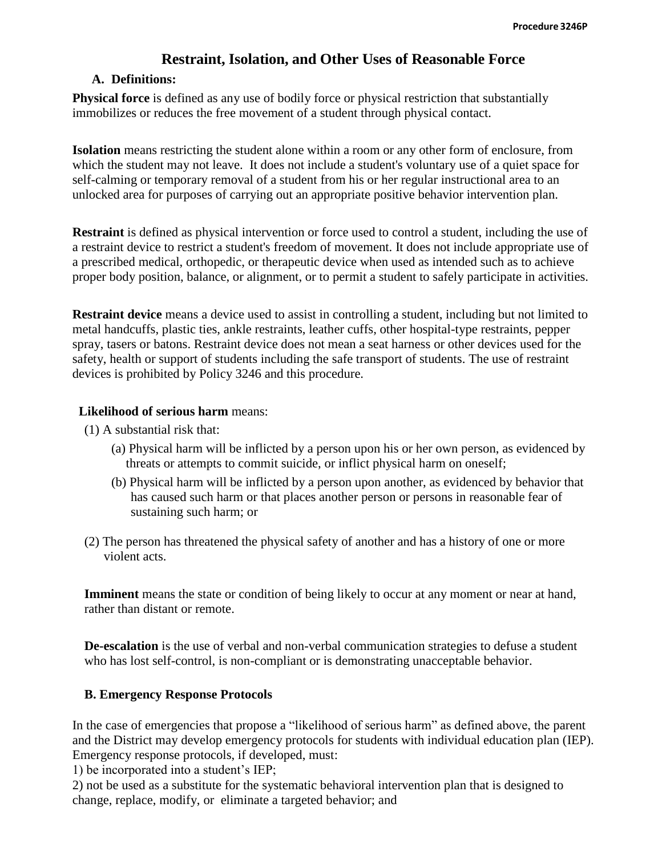# **Restraint, Isolation, and Other Uses of Reasonable Force**

### **A. Definitions:**

**Physical force** is defined as any use of bodily force or physical restriction that substantially immobilizes or reduces the free movement of a student through physical contact.

**Isolation** means restricting the student alone within a room or any other form of enclosure, from which the student may not leave. It does not include a student's voluntary use of a quiet space for self-calming or temporary removal of a student from his or her regular instructional area to an unlocked area for purposes of carrying out an appropriate positive behavior intervention plan.

**Restraint** is defined as physical intervention or force used to control a student, including the use of a restraint device to restrict a student's freedom of movement. It does not include appropriate use of a prescribed medical, orthopedic, or therapeutic device when used as intended such as to achieve proper body position, balance, or alignment, or to permit a student to safely participate in activities.

**Restraint device** means a device used to assist in controlling a student, including but not limited to metal handcuffs, plastic ties, ankle restraints, leather cuffs, other hospital-type restraints, pepper spray, tasers or batons. Restraint device does not mean a seat harness or other devices used for the safety, health or support of students including the safe transport of students. The use of restraint devices is prohibited by Policy 3246 and this procedure.

#### **Likelihood of serious harm** means:

- (1) A substantial risk that:
	- (a) Physical harm will be inflicted by a person upon his or her own person, as evidenced by threats or attempts to commit suicide, or inflict physical harm on oneself;
	- (b) Physical harm will be inflicted by a person upon another, as evidenced by behavior that has caused such harm or that places another person or persons in reasonable fear of sustaining such harm; or
- (2) The person has threatened the physical safety of another and has a history of one or more violent acts.

**Imminent** means the state or condition of being likely to occur at any moment or near at hand, rather than distant or remote.

**De-escalation** is the use of verbal and non-verbal communication strategies to defuse a student who has lost self-control, is non-compliant or is demonstrating unacceptable behavior.

#### **B. Emergency Response Protocols**

In the case of emergencies that propose a "likelihood of serious harm" as defined above, the parent and the District may develop emergency protocols for students with individual education plan (IEP). Emergency response protocols, if developed, must:

1) be incorporated into a student's IEP;

2) not be used as a substitute for the systematic behavioral intervention plan that is designed to change, replace, modify, or eliminate a targeted behavior; and